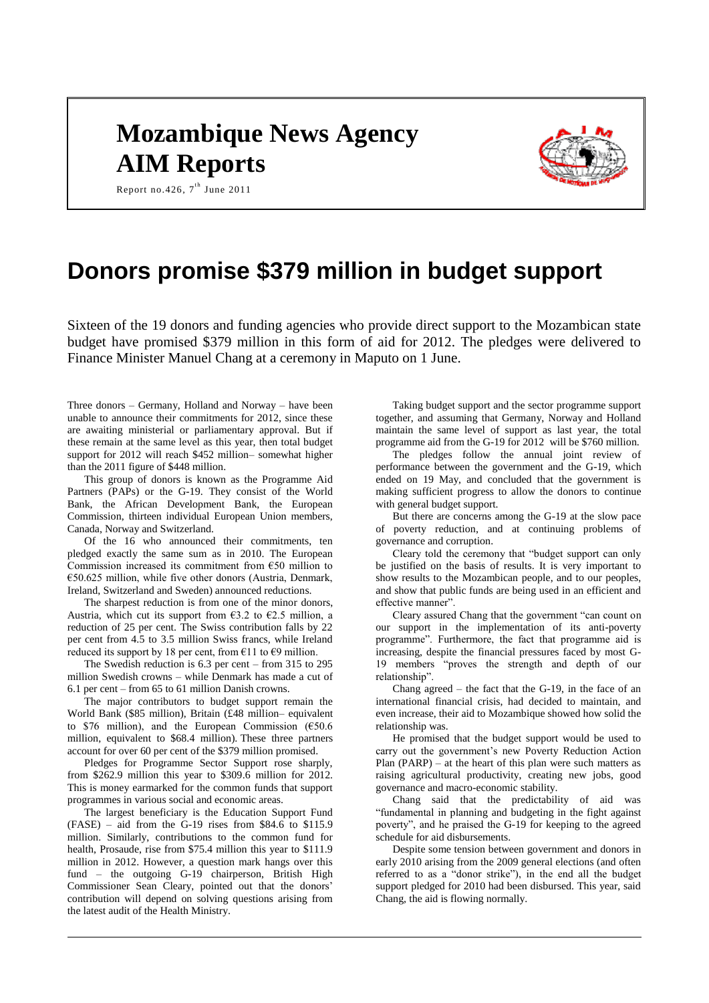# **Mozambique News Agency AIM Reports**



Report no. 426,  $7^{\text{th}}$  June 2011

# **Donors promise \$379 million in budget support**

Sixteen of the 19 donors and funding agencies who provide direct support to the Mozambican state budget have promised \$379 million in this form of aid for 2012. The pledges were delivered to Finance Minister Manuel Chang at a ceremony in Maputo on 1 June.

Three donors – Germany, Holland and Norway – have been unable to announce their commitments for 2012, since these are awaiting ministerial or parliamentary approval. But if these remain at the same level as this year, then total budget support for 2012 will reach \$452 million– somewhat higher than the 2011 figure of \$448 million.

This group of donors is known as the Programme Aid Partners (PAPs) or the G-19. They consist of the World Bank, the African Development Bank, the European Commission, thirteen individual European Union members, Canada, Norway and Switzerland.

Of the 16 who announced their commitments, ten pledged exactly the same sum as in 2010. The European Commission increased its commitment from  $€50$  million to €50.625 million, while five other donors (Austria, Denmark, Ireland, Switzerland and Sweden) announced reductions.

The sharpest reduction is from one of the minor donors, Austria, which cut its support from  $\epsilon$ 3.2 to  $\epsilon$ 2.5 million, a reduction of 25 per cent. The Swiss contribution falls by 22 per cent from 4.5 to 3.5 million Swiss francs, while Ireland reduced its support by 18 per cent, from  $\epsilon$ 11 to  $\epsilon$ 9 million.

The Swedish reduction is 6.3 per cent – from 315 to 295 million Swedish crowns – while Denmark has made a cut of 6.1 per cent – from 65 to 61 million Danish crowns.

The major contributors to budget support remain the World Bank (\$85 million), Britain (£48 million– equivalent to \$76 million), and the European Commission  $(650.6)$ million, equivalent to \$68.4 million). These three partners account for over 60 per cent of the \$379 million promised.

Pledges for Programme Sector Support rose sharply, from \$262.9 million this year to \$309.6 million for 2012. This is money earmarked for the common funds that support programmes in various social and economic areas.

The largest beneficiary is the Education Support Fund  $(FASE)$  – aid from the G-19 rises from \$84.6 to \$115.9 million. Similarly, contributions to the common fund for health, Prosaude, rise from \$75.4 million this year to \$111.9 million in 2012. However, a question mark hangs over this fund – the outgoing G-19 chairperson, British High Commissioner Sean Cleary, pointed out that the donors' contribution will depend on solving questions arising from the latest audit of the Health Ministry.

Taking budget support and the sector programme support together, and assuming that Germany, Norway and Holland maintain the same level of support as last year, the total programme aid from the G-19 for 2012 will be \$760 million.

The pledges follow the annual joint review of performance between the government and the G-19, which ended on 19 May, and concluded that the government is making sufficient progress to allow the donors to continue with general budget support.

But there are concerns among the G-19 at the slow pace of poverty reduction, and at continuing problems of governance and corruption.

Cleary told the ceremony that "budget support can only be justified on the basis of results. It is very important to show results to the Mozambican people, and to our peoples, and show that public funds are being used in an efficient and effective manner".

Cleary assured Chang that the government "can count on our support in the implementation of its anti-poverty programme". Furthermore, the fact that programme aid is increasing, despite the financial pressures faced by most G-19 members "proves the strength and depth of our relationship".

Chang agreed – the fact that the G-19, in the face of an international financial crisis, had decided to maintain, and even increase, their aid to Mozambique showed how solid the relationship was.

He promised that the budget support would be used to carry out the government's new Poverty Reduction Action Plan (PARP) – at the heart of this plan were such matters as raising agricultural productivity, creating new jobs, good governance and macro-economic stability.

Chang said that the predictability of aid was "fundamental in planning and budgeting in the fight against poverty", and he praised the G-19 for keeping to the agreed schedule for aid disbursements.

Despite some tension between government and donors in early 2010 arising from the 2009 general elections (and often referred to as a "donor strike"), in the end all the budget support pledged for 2010 had been disbursed. This year, said Chang, the aid is flowing normally.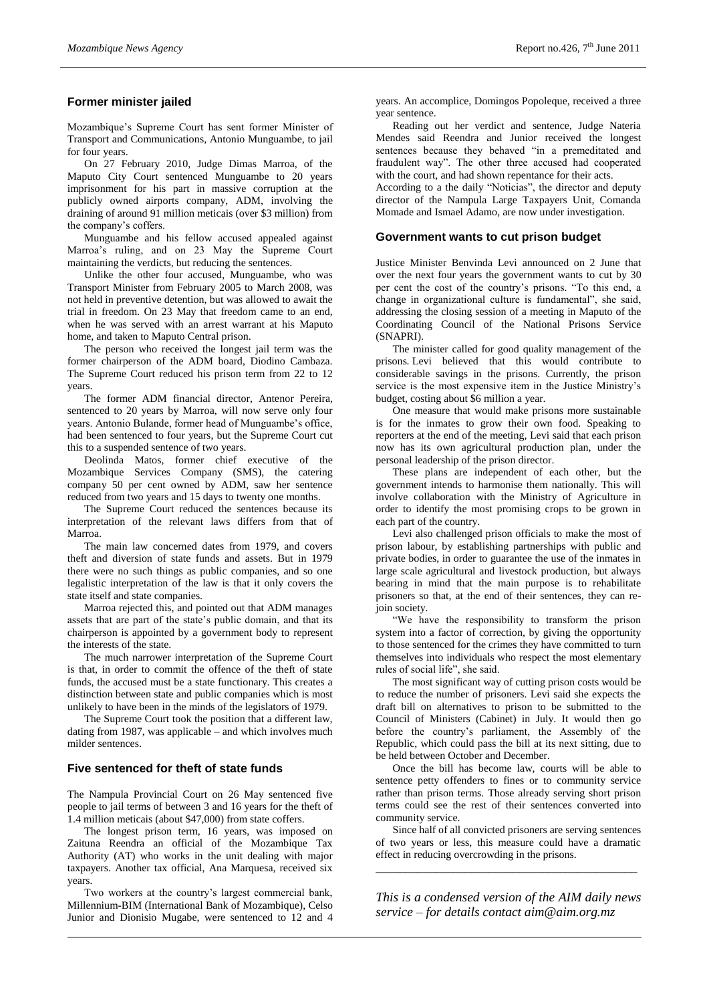# **Former minister jailed**

Mozambique's Supreme Court has sent former Minister of Transport and Communications, Antonio Munguambe, to jail for four years.

On 27 February 2010, Judge Dimas Marroa, of the Maputo City Court sentenced Munguambe to 20 years imprisonment for his part in massive corruption at the publicly owned airports company, ADM, involving the draining of around 91 million meticais (over \$3 million) from the company's coffers.

Munguambe and his fellow accused appealed against Marroa's ruling, and on 23 May the Supreme Court maintaining the verdicts, but reducing the sentences.

Unlike the other four accused, Munguambe, who was Transport Minister from February 2005 to March 2008, was not held in preventive detention, but was allowed to await the trial in freedom. On 23 May that freedom came to an end, when he was served with an arrest warrant at his Maputo home, and taken to Maputo Central prison.

The person who received the longest jail term was the former chairperson of the ADM board, Diodino Cambaza. The Supreme Court reduced his prison term from 22 to 12 years.

The former ADM financial director, Antenor Pereira, sentenced to 20 years by Marroa, will now serve only four years. Antonio Bulande, former head of Munguambe's office, had been sentenced to four years, but the Supreme Court cut this to a suspended sentence of two years.

Deolinda Matos, former chief executive of the Mozambique Services Company (SMS), the catering company 50 per cent owned by ADM, saw her sentence reduced from two years and 15 days to twenty one months.

The Supreme Court reduced the sentences because its interpretation of the relevant laws differs from that of Marroa.

The main law concerned dates from 1979, and covers theft and diversion of state funds and assets. But in 1979 there were no such things as public companies, and so one legalistic interpretation of the law is that it only covers the state itself and state companies.

Marroa rejected this, and pointed out that ADM manages assets that are part of the state's public domain, and that its chairperson is appointed by a government body to represent the interests of the state.

The much narrower interpretation of the Supreme Court is that, in order to commit the offence of the theft of state funds, the accused must be a state functionary. This creates a distinction between state and public companies which is most unlikely to have been in the minds of the legislators of 1979.

The Supreme Court took the position that a different law, dating from 1987, was applicable – and which involves much milder sentences.

#### **Five sentenced for theft of state funds**

The Nampula Provincial Court on 26 May sentenced five people to jail terms of between 3 and 16 years for the theft of 1.4 million meticais (about \$47,000) from state coffers.

The longest prison term, 16 years, was imposed on Zaituna Reendra an official of the Mozambique Tax Authority (AT) who works in the unit dealing with major taxpayers. Another tax official, Ana Marquesa, received six years.

Two workers at the country's largest commercial bank, Millennium-BIM (International Bank of Mozambique), Celso Junior and Dionisio Mugabe, were sentenced to 12 and 4 years. An accomplice, Domingos Popoleque, received a three year sentence.

Reading out her verdict and sentence, Judge Nateria Mendes said Reendra and Junior received the longest sentences because they behaved "in a premeditated and fraudulent way". The other three accused had cooperated with the court, and had shown repentance for their acts.

According to a the daily "Noticias", the director and deputy director of the Nampula Large Taxpayers Unit, Comanda Momade and Ismael Adamo, are now under investigation.

#### **Government wants to cut prison budget**

Justice Minister Benvinda Levi announced on 2 June that over the next four years the government wants to cut by 30 per cent the cost of the country's prisons. "To this end, a change in organizational culture is fundamental", she said, addressing the closing session of a meeting in Maputo of the Coordinating Council of the National Prisons Service (SNAPRI).

The minister called for good quality management of the prisons. Levi believed that this would contribute to considerable savings in the prisons. Currently, the prison service is the most expensive item in the Justice Ministry's budget, costing about \$6 million a year.

One measure that would make prisons more sustainable is for the inmates to grow their own food. Speaking to reporters at the end of the meeting, Levi said that each prison now has its own agricultural production plan, under the personal leadership of the prison director.

These plans are independent of each other, but the government intends to harmonise them nationally. This will involve collaboration with the Ministry of Agriculture in order to identify the most promising crops to be grown in each part of the country.

Levi also challenged prison officials to make the most of prison labour, by establishing partnerships with public and private bodies, in order to guarantee the use of the inmates in large scale agricultural and livestock production, but always bearing in mind that the main purpose is to rehabilitate prisoners so that, at the end of their sentences, they can rejoin society.

"We have the responsibility to transform the prison system into a factor of correction, by giving the opportunity to those sentenced for the crimes they have committed to turn themselves into individuals who respect the most elementary rules of social life", she said.

The most significant way of cutting prison costs would be to reduce the number of prisoners. Levi said she expects the draft bill on alternatives to prison to be submitted to the Council of Ministers (Cabinet) in July. It would then go before the country's parliament, the Assembly of the Republic, which could pass the bill at its next sitting, due to be held between October and December.

Once the bill has become law, courts will be able to sentence petty offenders to fines or to community service rather than prison terms. Those already serving short prison terms could see the rest of their sentences converted into community service.

Since half of all convicted prisoners are serving sentences of two years or less, this measure could have a dramatic effect in reducing overcrowding in the prisons.

*\_\_\_\_\_\_\_\_\_\_\_\_\_\_\_\_\_\_\_\_\_\_\_\_\_\_\_\_\_\_\_\_\_\_\_\_\_\_\_\_\_\_\_\_*

*This is a condensed version of the AIM daily news service – for details contact [aim@aim.org.mz](mailto:aim@aim.org.mz)*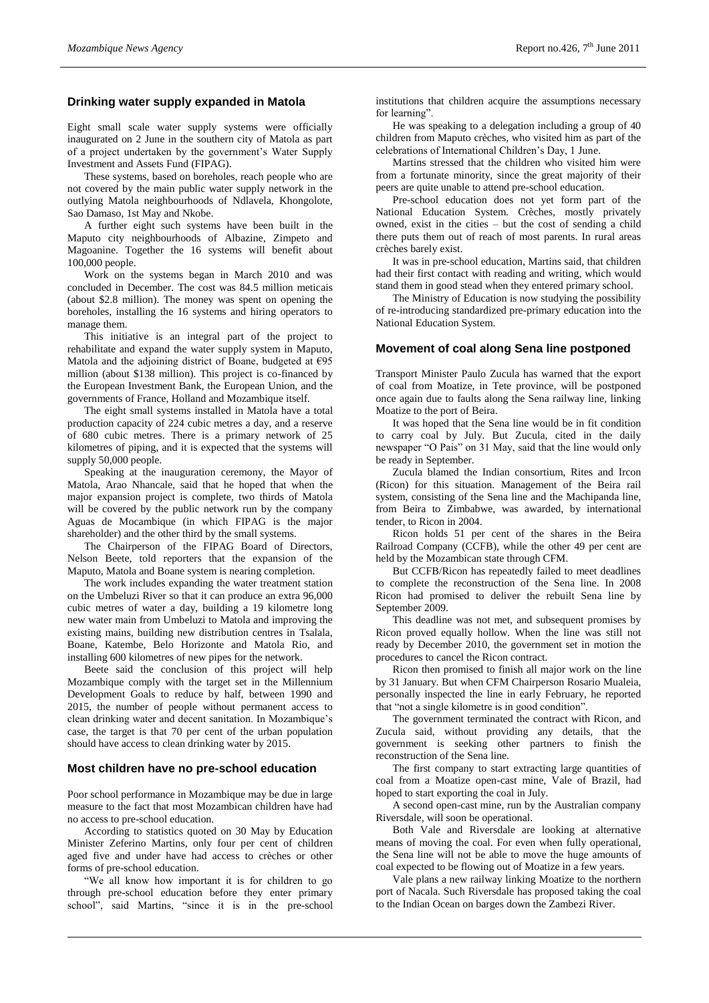# **Drinking water supply expanded in Matola**

Eight small scale water supply systems were officially inaugurated on 2 June in the southern city of Matola as part of a project undertaken by the government's Water Supply Investment and Assets Fund (FIPAG).

These systems, based on boreholes, reach people who are not covered by the main public water supply network in the outlying Matola neighbourhoods of Ndlavela, Khongolote, Sao Damaso, 1st May and Nkobe.

A further eight such systems have been built in the Maputo city neighbourhoods of Albazine, Zimpeto and Magoanine. Together the 16 systems will benefit about 100,000 people.

Work on the systems began in March 2010 and was concluded in December. The cost was 84.5 million meticais (about \$2.8 million). The money was spent on opening the boreholes, installing the 16 systems and hiring operators to manage them.

This initiative is an integral part of the project to rehabilitate and expand the water supply system in Maputo, Matola and the adjoining district of Boane, budgeted at  $\epsilon$ 95 million (about \$138 million). This project is co-financed by the European Investment Bank, the European Union, and the governments of France, Holland and Mozambique itself.

The eight small systems installed in Matola have a total production capacity of 224 cubic metres a day, and a reserve of 680 cubic metres. There is a primary network of 25 kilometres of piping, and it is expected that the systems will supply 50,000 people.

Speaking at the inauguration ceremony, the Mayor of Matola, Arao Nhancale, said that he hoped that when the major expansion project is complete, two thirds of Matola will be covered by the public network run by the company Aguas de Mocambique (in which FIPAG is the major shareholder) and the other third by the small systems.

The Chairperson of the FIPAG Board of Directors, Nelson Beete, told reporters that the expansion of the Maputo, Matola and Boane system is nearing completion.

The work includes expanding the water treatment station on the Umbeluzi River so that it can produce an extra 96,000 cubic metres of water a day, building a 19 kilometre long new water main from Umbeluzi to Matola and improving the existing mains, building new distribution centres in Tsalala, Boane, Katembe, Belo Horizonte and Matola Rio, and installing 600 kilometres of new pipes for the network.

Beete said the conclusion of this project will help Mozambique comply with the target set in the Millennium Development Goals to reduce by half, between 1990 and 2015, the number of people without permanent access to clean drinking water and decent sanitation. In Mozambique's case, the target is that 70 per cent of the urban population should have access to clean drinking water by 2015.

#### **Most children have no pre-school education**

Poor school performance in Mozambique may be due in large measure to the fact that most Mozambican children have had no access to pre-school education.

According to statistics quoted on 30 May by Education Minister Zeferino Martins, only four per cent of children aged five and under have had access to crèches or other forms of pre-school education.

"We all know how important it is for children to go through pre-school education before they enter primary school", said Martins, "since it is in the pre-school institutions that children acquire the assumptions necessary for learning".

He was speaking to a delegation including a group of 40 children from Maputo crèches, who visited him as part of the celebrations of International Children's Day, 1 June.

Martins stressed that the children who visited him were from a fortunate minority, since the great majority of their peers are quite unable to attend pre-school education.

Pre-school education does not yet form part of the National Education System. Crèches, mostly privately owned, exist in the cities – but the cost of sending a child there puts them out of reach of most parents. In rural areas crèches barely exist.

It was in pre-school education, Martins said, that children had their first contact with reading and writing, which would stand them in good stead when they entered primary school.

The Ministry of Education is now studying the possibility of re-introducing standardized pre-primary education into the National Education System.

#### **Movement of coal along Sena line postponed**

Transport Minister Paulo Zucula has warned that the export of coal from Moatize, in Tete province, will be postponed once again due to faults along the Sena railway line, linking Moatize to the port of Beira.

It was hoped that the Sena line would be in fit condition to carry coal by July. But Zucula, cited in the daily newspaper "O Pais" on 31 May, said that the line would only be ready in September.

Zucula blamed the Indian consortium, Rites and Ircon (Ricon) for this situation. Management of the Beira rail system, consisting of the Sena line and the Machipanda line, from Beira to Zimbabwe, was awarded, by international tender, to Ricon in 2004.

Ricon holds 51 per cent of the shares in the Beira Railroad Company (CCFB), while the other 49 per cent are held by the Mozambican state through CFM.

But CCFB/Ricon has repeatedly failed to meet deadlines to complete the reconstruction of the Sena line. In 2008 Ricon had promised to deliver the rebuilt Sena line by September 2009.

This deadline was not met, and subsequent promises by Ricon proved equally hollow. When the line was still not ready by December 2010, the government set in motion the procedures to cancel the Ricon contract.

Ricon then promised to finish all major work on the line by 31 January. But when CFM Chairperson Rosario Mualeia, personally inspected the line in early February, he reported that "not a single kilometre is in good condition".

The government terminated the contract with Ricon, and Zucula said, without providing any details, that the government is seeking other partners to finish the reconstruction of the Sena line.

The first company to start extracting large quantities of coal from a Moatize open-cast mine, Vale of Brazil, had hoped to start exporting the coal in July.

A second open-cast mine, run by the Australian company Riversdale, will soon be operational.

Both Vale and Riversdale are looking at alternative means of moving the coal. For even when fully operational, the Sena line will not be able to move the huge amounts of coal expected to be flowing out of Moatize in a few years.

Vale plans a new railway linking Moatize to the northern port of Nacala. Such Riversdale has proposed taking the coal to the Indian Ocean on barges down the Zambezi River.